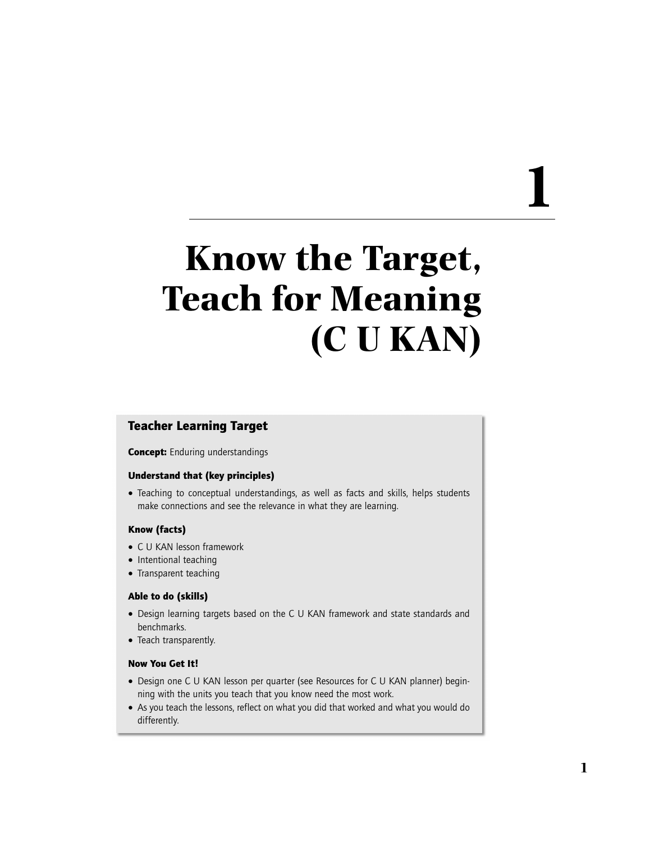# **1**

# **Know the Target, Teach for Meaning (C U KAN)**

# **Teacher Learning Target**

**Concept:** Enduring understandings

## **Understand that (key principles)**

• Teaching to conceptual understandings, as well as facts and skills, helps students make connections and see the relevance in what they are learning.

## **Know (facts)**

- C U KAN lesson framework
- Intentional teaching
- Transparent teaching

## **Able to do (skills)**

- Design learning targets based on the C U KAN framework and state standards and benchmarks.
- Teach transparently.

## **Now You Get It!**

- Design one C U KAN lesson per quarter (see Resources for C U KAN planner) beginning with the units you teach that you know need the most work.
- As you teach the lessons, reflect on what you did that worked and what you would do differently.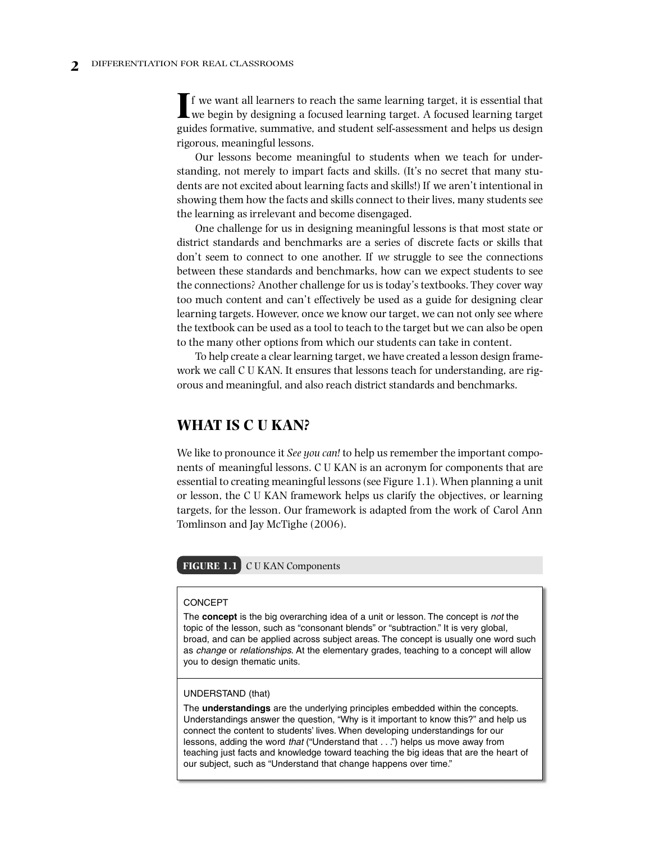**I**<sup>f</sup> we want all learners to reach the same learning target, it is essential that we begin by designing a focused learning target. A focused learning target guides formative, summative, and student self-assessment and helps us design rigorous, meaningful lessons.

Our lessons become meaningful to students when we teach for understanding, not merely to impart facts and skills. (It's no secret that many students are not excited about learning facts and skills!) If we aren't intentional in showing them how the facts and skills connect to their lives, many students see the learning as irrelevant and become disengaged.

One challenge for us in designing meaningful lessons is that most state or district standards and benchmarks are a series of discrete facts or skills that don't seem to connect to one another. If *we* struggle to see the connections between these standards and benchmarks, how can we expect students to see the connections? Another challenge for us is today's textbooks. They cover way too much content and can't effectively be used as a guide for designing clear learning targets. However, once we know our target, we can not only see where the textbook can be used as a tool to teach to the target but we can also be open to the many other options from which our students can take in content.

To help create a clear learning target, we have created a lesson design framework we call C U KAN. It ensures that lessons teach for understanding, are rigorous and meaningful, and also reach district standards and benchmarks.

# **WHAT IS C U KAN?**

We like to pronounce it *See you can!* to help us remember the important components of meaningful lessons. C U KAN is an acronym for components that are essential to creating meaningful lessons (see Figure 1.1). When planning a unit or lesson, the C U KAN framework helps us clarify the objectives, or learning targets, for the lesson. Our framework is adapted from the work of Carol Ann Tomlinson and Jay McTighe (2006).

**FIGURE 1.1** C U KAN Components

#### CONCEPT

The **concept** is the big overarching idea of a unit or lesson. The concept is *not* the topic of the lesson, such as "consonant blends" or "subtraction." It is very global, broad, and can be applied across subject areas. The concept is usually one word such as *change* or *relationships*. At the elementary grades, teaching to a concept will allow you to design thematic units.

#### UNDERSTAND (that)

The **understandings** are the underlying principles embedded within the concepts. Understandings answer the question, "Why is it important to know this?" and help us connect the content to students' lives. When developing understandings for our lessons, adding the word *that* ("Understand that . . .") helps us move away from teaching just facts and knowledge toward teaching the big ideas that are the heart of our subject, such as "Understand that change happens over time."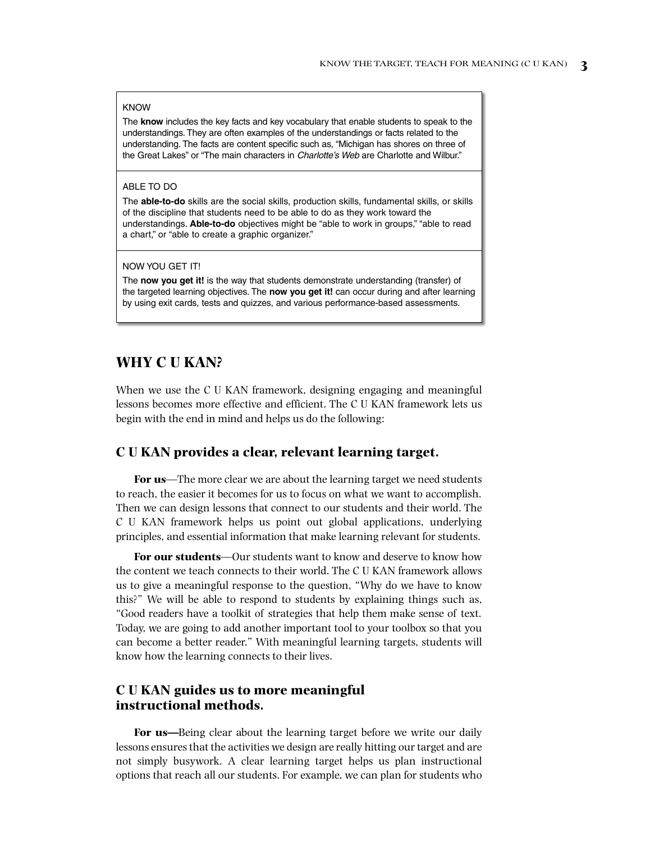### KNOW

The **know** includes the key facts and key vocabulary that enable students to speak to the understandings. They are often examples of the understandings or facts related to the understanding. The facts are content specific such as, "Michigan has shores on three of the Great Lakes" or "The main characters in *Charlotte's Web* are Charlotte and Wilbur."

### ABLE TO DO

The **able-to-do** skills are the social skills, production skills, fundamental skills, or skills of the discipline that students need to be able to do as they work toward the understandings. **Able-to-do** objectives might be "able to work in groups," "able to read a chart," or "able to create a graphic organizer."

#### NOW YOU GET IT!

The **now you get it!** is the way that students demonstrate understanding (transfer) of the targeted learning objectives. The **now you get it!** can occur during and after learning by using exit cards, tests and quizzes, and various performance-based assessments.

## **WHY C U KAN?**

When we use the C U KAN framework, designing engaging and meaningful lessons becomes more effective and efficient. The C U KAN framework lets us begin with the end in mind and helps us do the following:

# **C U KAN provides a clear, relevant learning target.**

**For us**—The more clear we are about the learning target we need students to reach, the easier it becomes for us to focus on what we want to accomplish. Then we can design lessons that connect to our students and their world. The C U KAN framework helps us point out global applications, underlying principles, and essential information that make learning relevant for students.

**For our students**—Our students want to know and deserve to know how the content we teach connects to their world. The C U KAN framework allows us to give a meaningful response to the question, "Why do we have to know this?" We will be able to respond to students by explaining things such as, "Good readers have a toolkit of strategies that help them make sense of text. Today, we are going to add another important tool to your toolbox so that you can become a better reader." With meaningful learning targets, students will know how the learning connects to their lives.

# **C U KAN guides us to more meaningful instructional methods.**

**For us—**Being clear about the learning target before we write our daily lessons ensures that the activities we design are really hitting our target and are not simply busywork. A clear learning target helps us plan instructional options that reach all our students. For example, we can plan for students who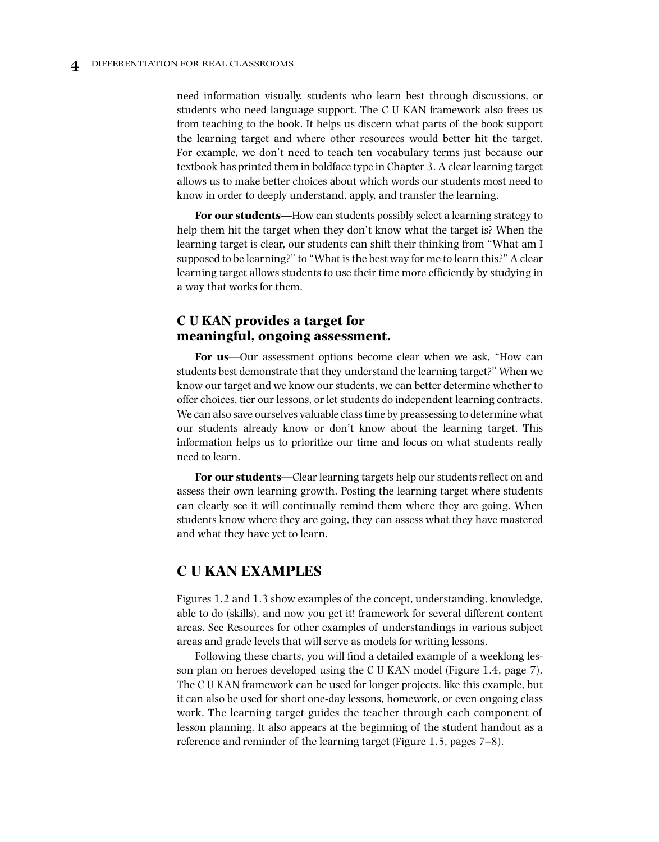need information visually, students who learn best through discussions, or students who need language support. The C U KAN framework also frees us from teaching to the book. It helps us discern what parts of the book support the learning target and where other resources would better hit the target. For example, we don't need to teach ten vocabulary terms just because our textbook has printed them in boldface type in Chapter 3. A clear learning target allows us to make better choices about which words our students most need to know in order to deeply understand, apply, and transfer the learning.

**For our students—**How can students possibly select a learning strategy to help them hit the target when they don't know what the target is? When the learning target is clear, our students can shift their thinking from "What am I supposed to be learning?" to "What isthe best way for me to learn this?" A clear learning target allows students to use their time more efficiently by studying in a way that works for them.

# **C U KAN provides a target for meaningful, ongoing assessment.**

**For us**—Our assessment options become clear when we ask, "How can students best demonstrate that they understand the learning target?" When we know our target and we know our students, we can better determine whether to offer choices, tier our lessons, or let students do independent learning contracts. We can also save ourselves valuable class time by preassessing to determine what our students already know or don't know about the learning target. This information helps us to prioritize our time and focus on what students really need to learn.

**For our students**—Clear learning targets help our students reflect on and assess their own learning growth. Posting the learning target where students can clearly see it will continually remind them where they are going. When students know where they are going, they can assess what they have mastered and what they have yet to learn.

# **C U KAN EXAMPLES**

Figures 1.2 and 1.3 show examples of the concept, understanding, knowledge, able to do (skills), and now you get it! framework for several different content areas. See Resources for other examples of understandings in various subject areas and grade levels that will serve as models for writing lessons.

Following these charts, you will find a detailed example of a weeklong lesson plan on heroes developed using the C U KAN model (Figure 1.4, page 7). The C U KAN framework can be used for longer projects, like this example, but it can also be used for short one-day lessons, homework, or even ongoing class work. The learning target guides the teacher through each component of lesson planning. It also appears at the beginning of the student handout as a reference and reminder of the learning target (Figure 1.5, pages 7–8).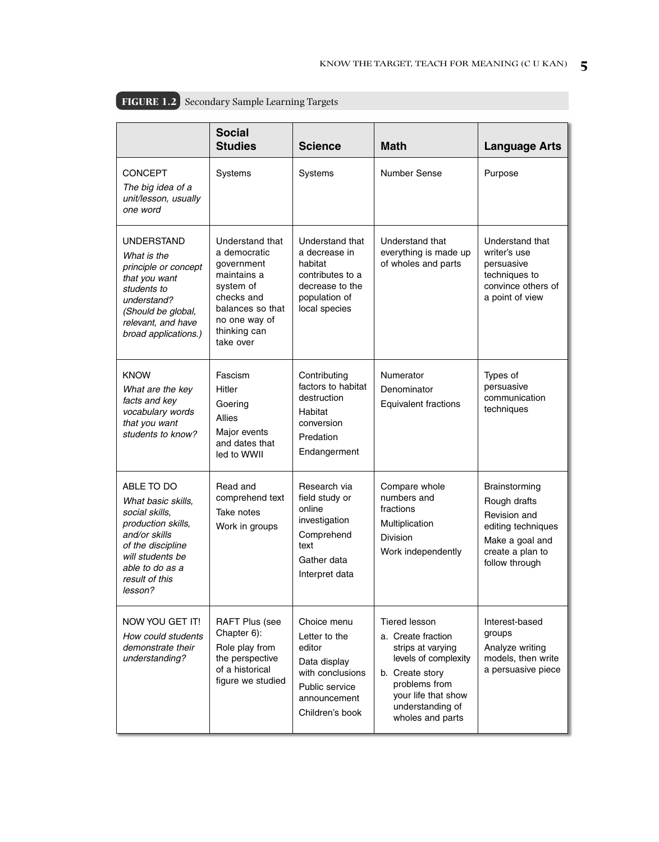|  | <b>FIGURE 1.2</b> Secondary Sample Learning Targets |  |
|--|-----------------------------------------------------|--|
|--|-----------------------------------------------------|--|

|                                                                                                                                                                                    | <b>Social</b><br><b>Studies</b>                                                                                                                           | <b>Science</b>                                                                                                                  | <b>Math</b>                                                                                                                                                                                | <b>Language Arts</b>                                                                                                         |
|------------------------------------------------------------------------------------------------------------------------------------------------------------------------------------|-----------------------------------------------------------------------------------------------------------------------------------------------------------|---------------------------------------------------------------------------------------------------------------------------------|--------------------------------------------------------------------------------------------------------------------------------------------------------------------------------------------|------------------------------------------------------------------------------------------------------------------------------|
| <b>CONCEPT</b><br>The big idea of a<br>unit/lesson, usually<br>one word                                                                                                            | Systems                                                                                                                                                   | Systems                                                                                                                         | <b>Number Sense</b>                                                                                                                                                                        | Purpose                                                                                                                      |
| <b>UNDERSTAND</b><br>What is the<br>principle or concept<br>that you want<br>students to<br>understand?<br>(Should be global,<br>relevant, and have<br>broad applications.)        | Understand that<br>a democratic<br>government<br>maintains a<br>system of<br>checks and<br>balances so that<br>no one way of<br>thinking can<br>take over | Understand that<br>a decrease in<br>habitat<br>contributes to a<br>decrease to the<br>population of<br>local species            | Understand that<br>everything is made up<br>of wholes and parts                                                                                                                            | Understand that<br>writer's use<br>persuasive<br>techniques to<br>convince others of<br>a point of view                      |
| <b>KNOW</b><br>What are the key<br>facts and key<br>vocabulary words<br>that you want<br>students to know?                                                                         | Fascism<br>Hitler<br>Goering<br><b>Allies</b><br>Major events<br>and dates that<br>led to WWII                                                            | Contributing<br>factors to habitat<br>destruction<br>Habitat<br>conversion<br>Predation<br>Endangerment                         | Numerator<br>Denominator<br><b>Equivalent fractions</b>                                                                                                                                    | Types of<br>persuasive<br>communication<br>techniques                                                                        |
| ABLE TO DO<br>What basic skills,<br>social skills.<br>production skills,<br>and/or skills<br>of the discipline<br>will students be<br>able to do as a<br>result of this<br>lesson? | Read and<br>comprehend text<br>Take notes<br>Work in groups                                                                                               | Research via<br>field study or<br>online<br>investigation<br>Comprehend<br>text<br>Gather data<br>Interpret data                | Compare whole<br>numbers and<br>fractions<br>Multiplication<br><b>Division</b><br>Work independently                                                                                       | Brainstorming<br>Rough drafts<br>Revision and<br>editing techniques<br>Make a goal and<br>create a plan to<br>follow through |
| NOW YOU GET IT!<br>How could students<br>demonstrate their<br>understanding?                                                                                                       | <b>RAFT Plus (see</b><br>Chapter 6):<br>Role play from<br>the perspective<br>of a historical<br>figure we studied                                         | Choice menu<br>Letter to the<br>editor<br>Data display<br>with conclusions<br>Public service<br>announcement<br>Children's book | <b>Tiered lesson</b><br>a. Create fraction<br>strips at varying<br>levels of complexity<br>b. Create story<br>problems from<br>your life that show<br>understanding of<br>wholes and parts | Interest-based<br>groups<br>Analyze writing<br>models, then write<br>a persuasive piece                                      |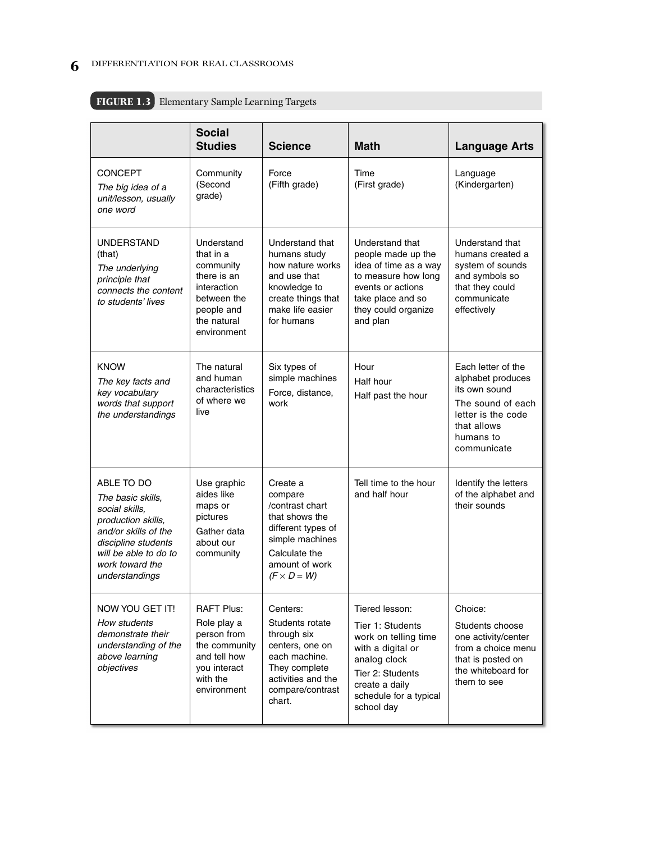# **6** DIFFERENTIATION FOR REAL CLASSROOMS

# **FIGURE 1.3** Elementary Sample Learning Targets

|                                                                                                                                                                                      | <b>Social</b><br><b>Studies</b>                                                                                               | <b>Science</b>                                                                                                                                             | <b>Math</b>                                                                                                                                                                   | <b>Language Arts</b>                                                                                                                           |
|--------------------------------------------------------------------------------------------------------------------------------------------------------------------------------------|-------------------------------------------------------------------------------------------------------------------------------|------------------------------------------------------------------------------------------------------------------------------------------------------------|-------------------------------------------------------------------------------------------------------------------------------------------------------------------------------|------------------------------------------------------------------------------------------------------------------------------------------------|
| <b>CONCEPT</b><br>The big idea of a<br>unit/lesson, usually<br>one word                                                                                                              | Community<br>(Second<br>grade)                                                                                                | Force<br>(Fifth grade)                                                                                                                                     | Time<br>(First grade)                                                                                                                                                         | Language<br>(Kindergarten)                                                                                                                     |
| <b>UNDERSTAND</b><br>(that)<br>The underlying<br>principle that<br>connects the content<br>to students' lives                                                                        | Understand<br>that in a<br>community<br>there is an<br>interaction<br>between the<br>people and<br>the natural<br>environment | Understand that<br>humans study<br>how nature works<br>and use that<br>knowledge to<br>create things that<br>make life easier<br>for humans                | Understand that<br>people made up the<br>idea of time as a way<br>to measure how long<br>events or actions<br>take place and so<br>they could organize<br>and plan            | Understand that<br>humans created a<br>system of sounds<br>and symbols so<br>that they could<br>communicate<br>effectively                     |
| <b>KNOW</b><br>The key facts and<br>key vocabulary<br>words that support<br>the understandings                                                                                       | The natural<br>and human<br>characteristics<br>of where we<br>live                                                            | Six types of<br>simple machines<br>Force, distance,<br>work                                                                                                | Hour<br>Half hour<br>Half past the hour                                                                                                                                       | Each letter of the<br>alphabet produces<br>its own sound<br>The sound of each<br>letter is the code<br>that allows<br>humans to<br>communicate |
| ABLE TO DO<br>The basic skills.<br>social skills,<br>production skills.<br>and/or skills of the<br>discipline students<br>will be able to do to<br>work toward the<br>understandings | Use graphic<br>aides like<br>maps or<br>pictures<br>Gather data<br>about our<br>community                                     | Create a<br>compare<br>/contrast chart<br>that shows the<br>different types of<br>simple machines<br>Calculate the<br>amount of work<br>$(F \times D = W)$ | Tell time to the hour<br>and half hour                                                                                                                                        | Identify the letters<br>of the alphabet and<br>their sounds                                                                                    |
| NOW YOU GET IT!<br>How students<br>demonstrate their<br>understanding of the<br>above learning<br>objectives                                                                         | <b>RAFT Plus:</b><br>Role play a<br>person from<br>the community<br>and tell how<br>you interact<br>with the<br>environment   | Centers:<br>Students rotate<br>through six<br>centers, one on<br>each machine.<br>They complete<br>activities and the<br>compare/contrast<br>chart.        | Tiered lesson:<br>Tier 1: Students<br>work on telling time<br>with a digital or<br>analog clock<br>Tier 2: Students<br>create a daily<br>schedule for a typical<br>school day | Choice:<br>Students choose<br>one activity/center<br>from a choice menu<br>that is posted on<br>the whiteboard for<br>them to see              |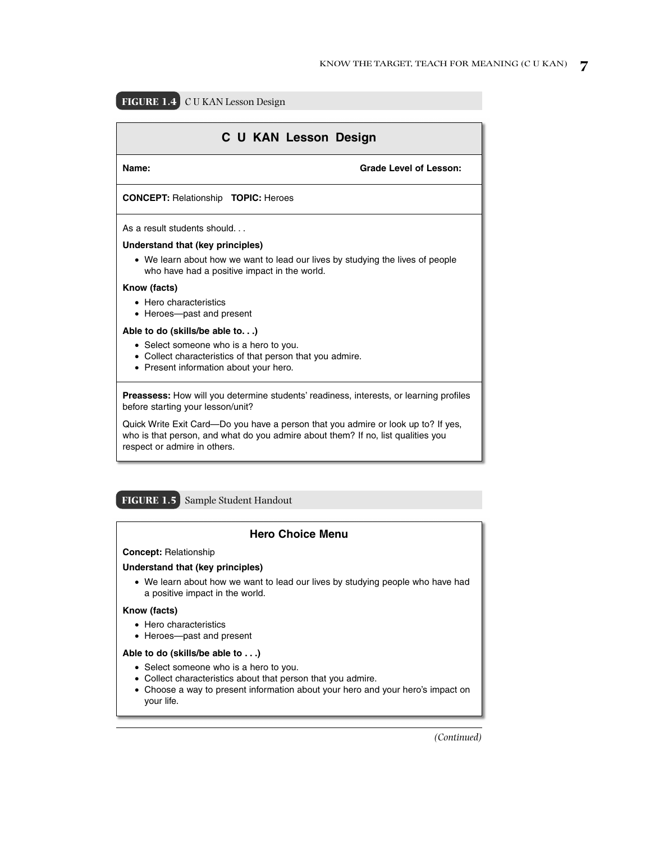# **FIGURE 1.4** C U KAN Lesson Design **C U KAN Lesson Design Name: Grade Level of Lesson: CONCEPT:** Relationship **TOPIC:** Heroes As a result students should... **Understand that (key principles)** • We learn about how we want to lead our lives by studying the lives of people who have had a positive impact in the world. **Know (facts)** • Hero characteristics • Heroes—past and present **Able to do (skills/be able to. . .)** • Select someone who is a hero to you. • Collect characteristics of that person that you admire. • Present information about your hero. **Preassess:** How will you determine students' readiness, interests, or learning profiles before starting your lesson/unit? Quick Write Exit Card—Do you have a person that you admire or look up to? If yes,

who is that person, and what do you admire about them? If no, list qualities you respect or admire in others.

# **FIGURE 1.5** Sample Student Handout

## **Hero Choice Menu**

**Concept:** Relationship

## **Understand that (key principles)**

• We learn about how we want to lead our lives by studying people who have had a positive impact in the world.

## **Know (facts)**

- Hero characteristics
- Heroes—past and present

#### **Able to do (skills/be able to . . .)**

- Select someone who is a hero to you.
- Collect characteristics about that person that you admire.
- Choose a way to present information about your hero and your hero's impact on your life.

*(Continued)*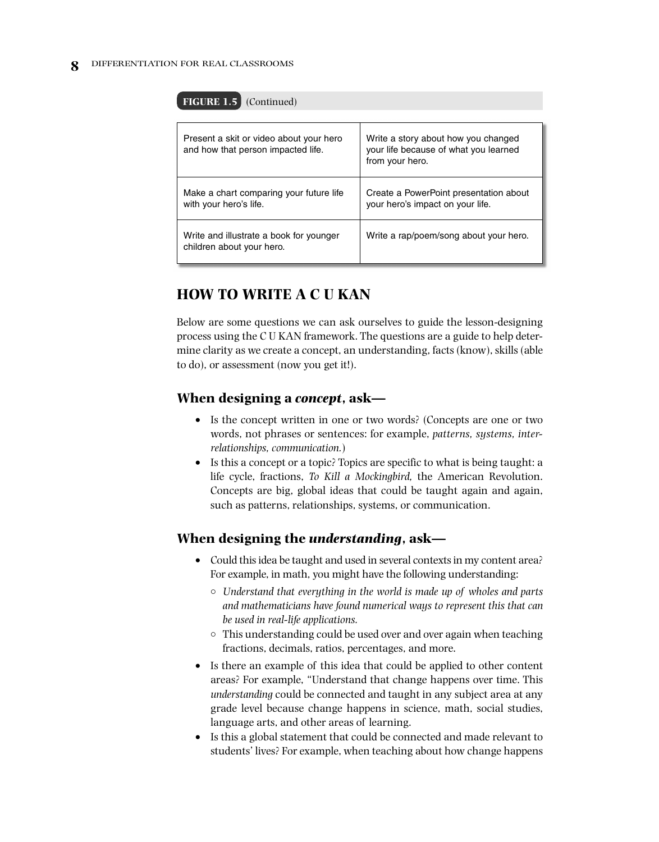| <b>FIGURE 1.5</b> (Continued)                                                 |                                                                                                 |  |  |  |
|-------------------------------------------------------------------------------|-------------------------------------------------------------------------------------------------|--|--|--|
|                                                                               |                                                                                                 |  |  |  |
| Present a skit or video about your hero<br>and how that person impacted life. | Write a story about how you changed<br>your life because of what you learned<br>from your hero. |  |  |  |
| Make a chart comparing your future life<br>with your hero's life.             | Create a PowerPoint presentation about<br>your hero's impact on your life.                      |  |  |  |
| Write and illustrate a book for younger<br>children about your hero.          | Write a rap/poem/song about your hero.                                                          |  |  |  |

# **HOW TO WRITE A C U KAN**

Below are some questions we can ask ourselves to guide the lesson-designing process using the C U KAN framework. The questions are a guide to help determine clarity as we create a concept, an understanding, facts (know), skills (able to do), or assessment (now you get it!).

# **When designing a** *concept***, ask—**

- Is the concept written in one or two words? (Concepts are one or two words, not phrases or sentences: for example, *patterns, systems, interrelationships, communication.*)
- Is this a concept or a topic? Topics are specific to what is being taught: a life cycle, fractions, *To Kill a Mockingbird,* the American Revolution. Concepts are big, global ideas that could be taught again and again, such as patterns, relationships, systems, or communication.

# **When designing the** *understanding***, ask—**

- Could this idea be taught and used in several contexts in my content area? For example, in math, you might have the following understanding:
	- *Understand that everything in the world is made up of wholes and parts and mathematicians have found numerical ways to represent this that can be used in real-life applications.*
	- This understanding could be used over and over again when teaching fractions, decimals, ratios, percentages, and more.
- Is there an example of this idea that could be applied to other content areas? For example, "Understand that change happens over time. This *understanding* could be connected and taught in any subject area at any grade level because change happens in science, math, social studies, language arts, and other areas of learning.
- Is this a global statement that could be connected and made relevant to students' lives? For example, when teaching about how change happens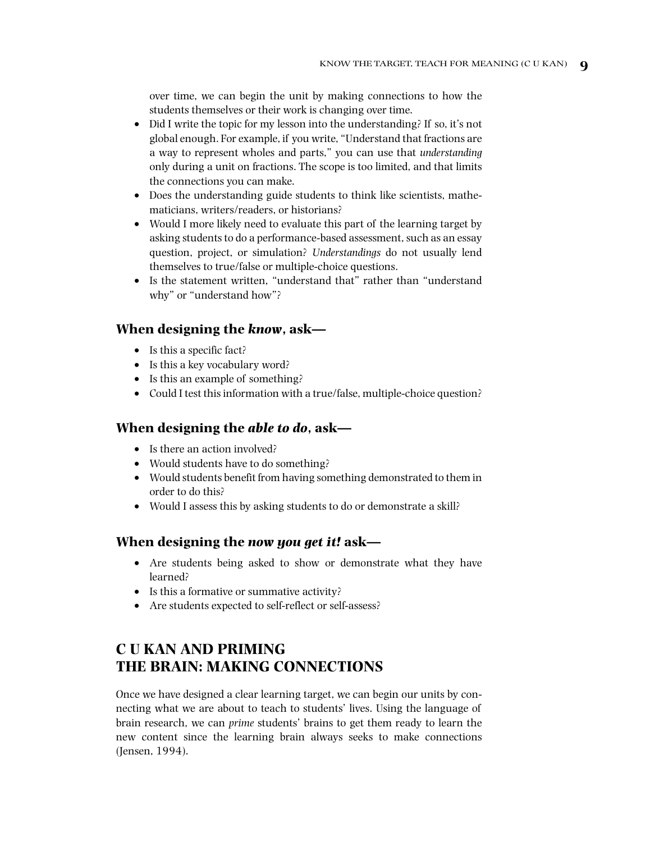over time, we can begin the unit by making connections to how the students themselves or their work is changing over time.

- Did I write the topic for my lesson into the understanding? If so, it's not global enough. For example, if you write, "Understand that fractions are a way to represent wholes and parts," you can use that *understanding* only during a unit on fractions. The scope is too limited, and that limits the connections you can make.
- Does the understanding guide students to think like scientists, mathematicians, writers/readers, or historians?
- Would I more likely need to evaluate this part of the learning target by asking students to do a performance-based assessment, such as an essay question, project, or simulation? *Understandings* do not usually lend themselves to true/false or multiple-choice questions.
- Is the statement written, "understand that" rather than "understand why" or "understand how"?

# **When designing the** *know***, ask—**

- Is this a specific fact?
- Is this a key vocabulary word?
- Is this an example of something?
- Could I test this information with a true/false, multiple-choice question?

# **When designing the** *able to do***, ask—**

- Is there an action involved?
- Would students have to do something?
- Would students benefit from having something demonstrated to them in order to do this?
- Would I assess this by asking students to do or demonstrate a skill?

# **When designing the** *now you get it!* **ask—**

- Are students being asked to show or demonstrate what they have learned?
- Is this a formative or summative activity?
- Are students expected to self-reflect or self-assess?

# **C U KAN AND PRIMING THE BRAIN: MAKING CONNECTIONS**

Once we have designed a clear learning target, we can begin our units by connecting what we are about to teach to students' lives. Using the language of brain research, we can *prime* students' brains to get them ready to learn the new content since the learning brain always seeks to make connections (Jensen, 1994).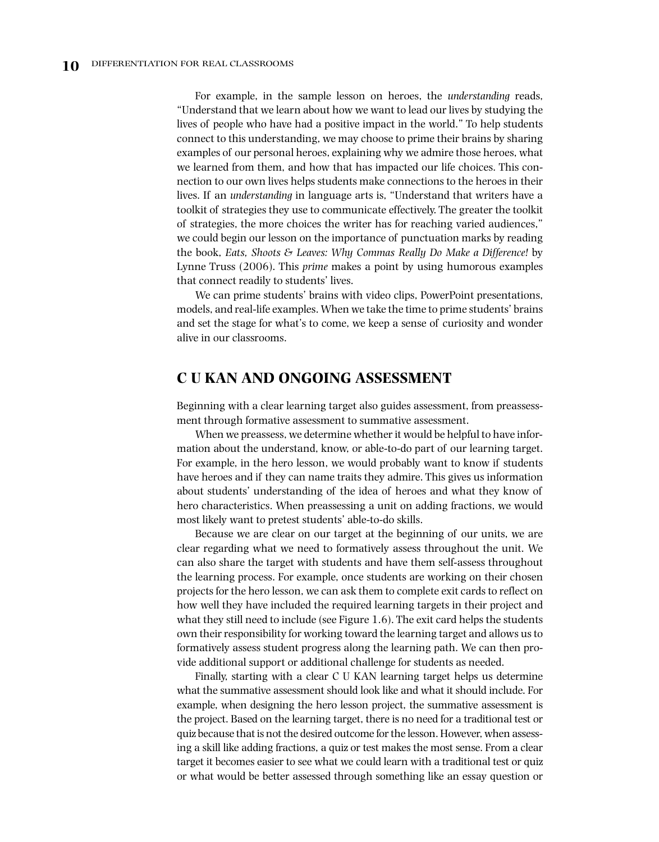For example, in the sample lesson on heroes, the *understanding* reads, "Understand that we learn about how we want to lead our lives by studying the lives of people who have had a positive impact in the world." To help students connect to this understanding, we may choose to prime their brains by sharing examples of our personal heroes, explaining why we admire those heroes, what we learned from them, and how that has impacted our life choices. This connection to our own lives helps students make connections to the heroes in their lives. If an *understanding* in language arts is, "Understand that writers have a toolkit of strategies they use to communicate effectively. The greater the toolkit of strategies, the more choices the writer has for reaching varied audiences," we could begin our lesson on the importance of punctuation marks by reading the book, *Eats, Shoots & Leaves: Why Commas Really Do Make a Difference!* by Lynne Truss (2006). This *prime* makes a point by using humorous examples that connect readily to students' lives.

We can prime students' brains with video clips, PowerPoint presentations, models, and real-life examples. When we take the time to prime students' brains and set the stage for what's to come, we keep a sense of curiosity and wonder alive in our classrooms.

# **C U KAN AND ONGOING ASSESSMENT**

Beginning with a clear learning target also guides assessment, from preassessment through formative assessment to summative assessment.

When we preassess, we determine whether it would be helpful to have information about the understand, know, or able-to-do part of our learning target. For example, in the hero lesson, we would probably want to know if students have heroes and if they can name traits they admire. This gives us information about students' understanding of the idea of heroes and what they know of hero characteristics. When preassessing a unit on adding fractions, we would most likely want to pretest students' able-to-do skills.

Because we are clear on our target at the beginning of our units, we are clear regarding what we need to formatively assess throughout the unit. We can also share the target with students and have them self-assess throughout the learning process. For example, once students are working on their chosen projects for the hero lesson, we can ask them to complete exit cards to reflect on how well they have included the required learning targets in their project and what they still need to include (see Figure 1.6). The exit card helps the students own their responsibility for working toward the learning target and allows us to formatively assess student progress along the learning path. We can then provide additional support or additional challenge for students as needed.

Finally, starting with a clear C U KAN learning target helps us determine what the summative assessment should look like and what it should include. For example, when designing the hero lesson project, the summative assessment is the project. Based on the learning target, there is no need for a traditional test or quiz because that is not the desired outcome forthe lesson. However, when assessing a skill like adding fractions, a quiz or test makes the most sense. From a clear target it becomes easier to see what we could learn with a traditional test or quiz or what would be better assessed through something like an essay question or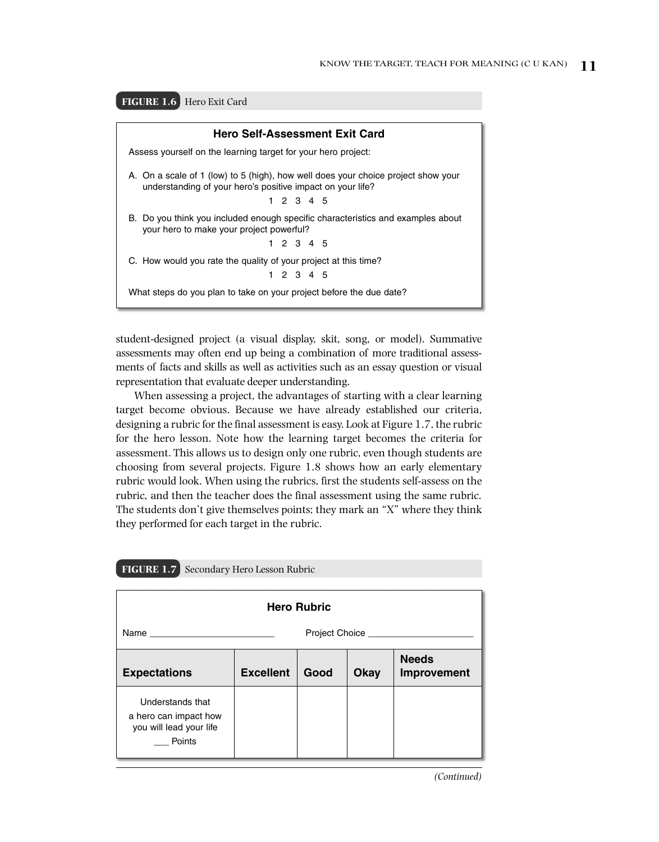| <b>FIGURE 1.6</b> Hero Exit Card                                                                                                                |  |  |  |
|-------------------------------------------------------------------------------------------------------------------------------------------------|--|--|--|
|                                                                                                                                                 |  |  |  |
| <b>Hero Self-Assessment Exit Card</b>                                                                                                           |  |  |  |
| Assess yourself on the learning target for your hero project:                                                                                   |  |  |  |
| A. On a scale of 1 (low) to 5 (high), how well does your choice project show your<br>understanding of your hero's positive impact on your life? |  |  |  |
| 1 2 3 4 5                                                                                                                                       |  |  |  |
| B. Do you think you included enough specific characteristics and examples about<br>your hero to make your project powerful?                     |  |  |  |
| 1 2 3 4 5                                                                                                                                       |  |  |  |
| C. How would you rate the quality of your project at this time?                                                                                 |  |  |  |
| 1 2 3 4 5                                                                                                                                       |  |  |  |
| What steps do you plan to take on your project before the due date?                                                                             |  |  |  |

student-designed project (a visual display, skit, song, or model). Summative assessments may often end up being a combination of more traditional assessments of facts and skills as well as activities such as an essay question or visual representation that evaluate deeper understanding.

When assessing a project, the advantages of starting with a clear learning target become obvious. Because we have already established our criteria, designing a rubric for the final assessment is easy. Look at Figure 1.7, the rubric for the hero lesson. Note how the learning target becomes the criteria for assessment. This allows us to design only one rubric, even though students are choosing from several projects. Figure 1.8 shows how an early elementary rubric would look. When using the rubrics, first the students self-assess on the rubric, and then the teacher does the final assessment using the same rubric. The students don't give themselves points; they mark an "X" where they think they performed for each target in the rubric.

## **FIGURE 1.7** Secondary Hero Lesson Rubric

| <b>Hero Rubric</b>                                                             |                  |      |      |                                    |
|--------------------------------------------------------------------------------|------------------|------|------|------------------------------------|
|                                                                                |                  |      |      |                                    |
| <b>Expectations</b>                                                            | <b>Excellent</b> | Good | Okay | <b>Needs</b><br><b>Improvement</b> |
| Understands that<br>a hero can impact how<br>you will lead your life<br>Points |                  |      |      |                                    |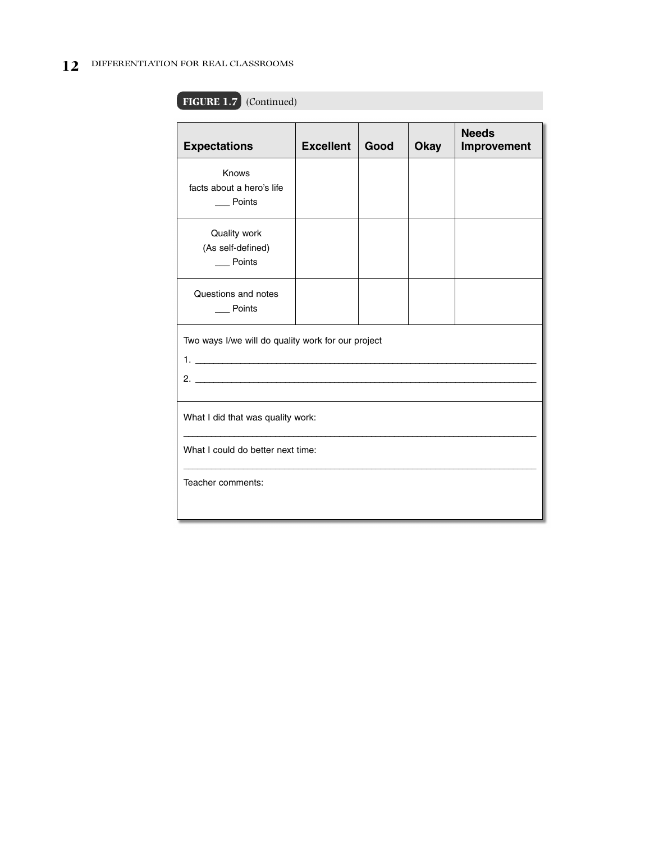| <b>FIGURE 1.7</b> (Continued) |
|-------------------------------|
|-------------------------------|

| <b>Expectations</b>                                | <b>Excellent</b> | Good | <b>Okay</b> | <b>Needs</b><br><b>Improvement</b> |
|----------------------------------------------------|------------------|------|-------------|------------------------------------|
| Knows<br>facts about a hero's life<br>Points       |                  |      |             |                                    |
| Quality work<br>(As self-defined)<br><b>Points</b> |                  |      |             |                                    |
| Questions and notes<br>Points                      |                  |      |             |                                    |
| Two ways I/we will do quality work for our project |                  |      |             |                                    |
| 2.                                                 |                  |      |             |                                    |
| What I did that was quality work:                  |                  |      |             |                                    |
| What I could do better next time:                  |                  |      |             |                                    |
| Teacher comments:                                  |                  |      |             |                                    |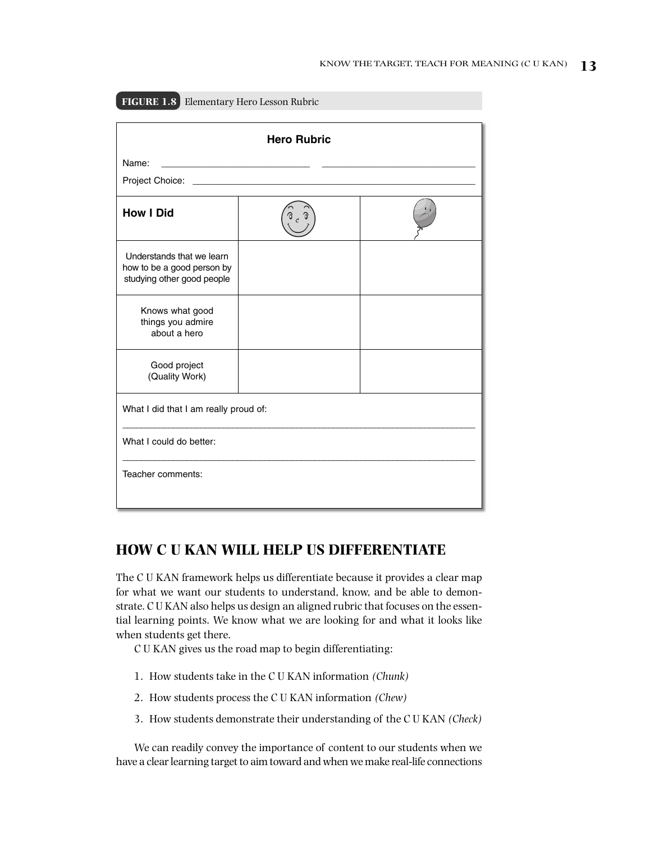|                                                                                       | <b>Hero Rubric</b> |  |
|---------------------------------------------------------------------------------------|--------------------|--|
| Name:                                                                                 |                    |  |
| Project Choice:                                                                       |                    |  |
| <b>How I Did</b>                                                                      |                    |  |
| Understands that we learn<br>how to be a good person by<br>studying other good people |                    |  |
| Knows what good<br>things you admire<br>about a hero                                  |                    |  |
| Good project<br>(Quality Work)                                                        |                    |  |
| What I did that I am really proud of:                                                 |                    |  |
| What I could do better:                                                               |                    |  |

# **HOW C U KAN WILL HELP US DIFFERENTIATE**

The C U KAN framework helps us differentiate because it provides a clear map for what we want our students to understand, know, and be able to demonstrate. C U KAN also helps us design an aligned rubric that focuses on the essential learning points. We know what we are looking for and what it looks like when students get there.

C U KAN gives us the road map to begin differentiating:

- 1. How students take in the C U KAN information *(Chunk)*
- 2. How students process the C U KAN information *(Chew)*
- 3. How students demonstrate their understanding of the C U KAN *(Check)*

We can readily convey the importance of content to our students when we have a clear learning target to aim toward and when we make real-life connections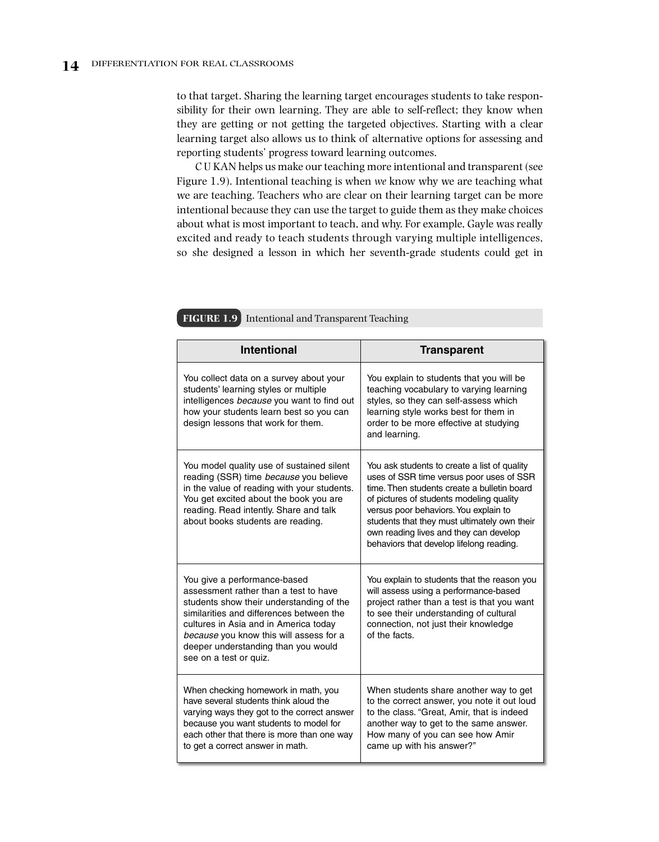to that target. Sharing the learning target encourages students to take responsibility for their own learning. They are able to self-reflect; they know when they are getting or not getting the targeted objectives. Starting with a clear learning target also allows us to think of alternative options for assessing and reporting students' progress toward learning outcomes.

C U KAN helps us make our teaching more intentional and transparent (see Figure 1.9). Intentional teaching is when *we* know why we are teaching what we are teaching. Teachers who are clear on their learning target can be more intentional because they can use the target to guide them as they make choices about what is most important to teach, and why. For example, Gayle was really excited and ready to teach students through varying multiple intelligences, so she designed a lesson in which her seventh-grade students could get in

| <b>Intentional</b>                                                                                                                                                                                                                                                                                                 | <b>Transparent</b>                                                                                                                                                                                                                                                                                                                                                 |
|--------------------------------------------------------------------------------------------------------------------------------------------------------------------------------------------------------------------------------------------------------------------------------------------------------------------|--------------------------------------------------------------------------------------------------------------------------------------------------------------------------------------------------------------------------------------------------------------------------------------------------------------------------------------------------------------------|
| You collect data on a survey about your<br>students' learning styles or multiple<br>intelligences because you want to find out<br>how your students learn best so you can<br>design lessons that work for them.                                                                                                    | You explain to students that you will be<br>teaching vocabulary to varying learning<br>styles, so they can self-assess which<br>learning style works best for them in<br>order to be more effective at studying<br>and learning.                                                                                                                                   |
| You model quality use of sustained silent<br>reading (SSR) time because you believe<br>in the value of reading with your students.<br>You get excited about the book you are<br>reading. Read intently. Share and talk<br>about books students are reading.                                                        | You ask students to create a list of quality<br>uses of SSR time versus poor uses of SSR<br>time. Then students create a bulletin board<br>of pictures of students modeling quality<br>versus poor behaviors. You explain to<br>students that they must ultimately own their<br>own reading lives and they can develop<br>behaviors that develop lifelong reading. |
| You give a performance-based<br>assessment rather than a test to have<br>students show their understanding of the<br>similarities and differences between the<br>cultures in Asia and in America today<br>because you know this will assess for a<br>deeper understanding than you would<br>see on a test or quiz. | You explain to students that the reason you<br>will assess using a performance-based<br>project rather than a test is that you want<br>to see their understanding of cultural<br>connection, not just their knowledge<br>of the facts.                                                                                                                             |
| When checking homework in math, you<br>have several students think aloud the<br>varying ways they got to the correct answer<br>because you want students to model for<br>each other that there is more than one way<br>to get a correct answer in math.                                                            | When students share another way to get<br>to the correct answer, you note it out loud<br>to the class. "Great, Amir, that is indeed<br>another way to get to the same answer.<br>How many of you can see how Amir<br>came up with his answer?"                                                                                                                     |

## **FIGURE 1.9** Intentional and Transparent Teaching